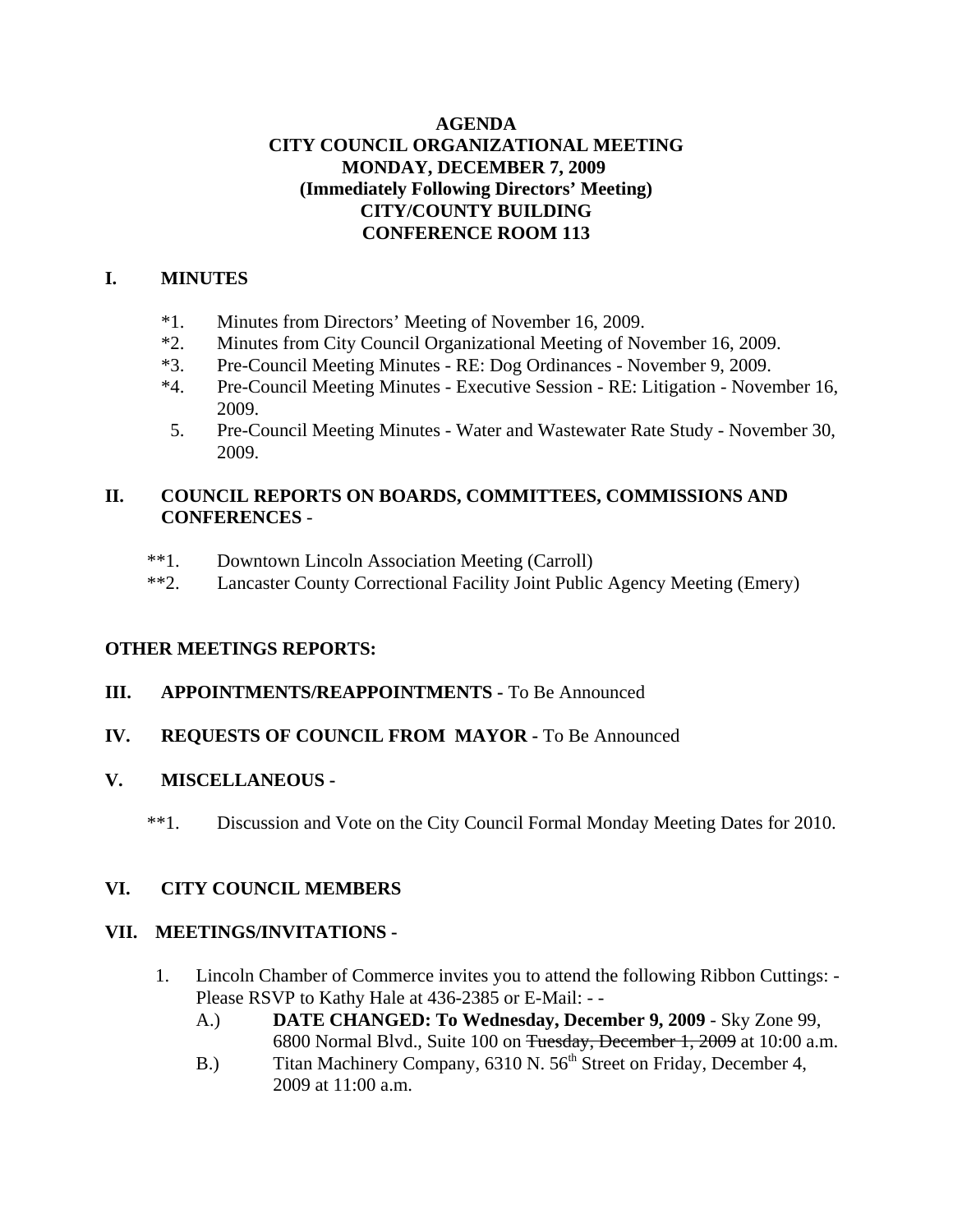### **AGENDA CITY COUNCIL ORGANIZATIONAL MEETING MONDAY, DECEMBER 7, 2009 (Immediately Following Directors' Meeting) CITY/COUNTY BUILDING CONFERENCE ROOM 113**

### **I. MINUTES**

- \*1. Minutes from Directors' Meeting of November 16, 2009.
- \*2. Minutes from City Council Organizational Meeting of November 16, 2009.
- \*3. Pre-Council Meeting Minutes RE: Dog Ordinances November 9, 2009.
- \*4. Pre-Council Meeting Minutes Executive Session RE: Litigation November 16, 2009.
- 5. Pre-Council Meeting Minutes Water and Wastewater Rate Study November 30, 2009.

### **II. COUNCIL REPORTS ON BOARDS, COMMITTEES, COMMISSIONS AND CONFERENCES** -

- \*\*1. Downtown Lincoln Association Meeting (Carroll)
- \*\*2. Lancaster County Correctional Facility Joint Public Agency Meeting (Emery)

### **OTHER MEETINGS REPORTS:**

### **III. APPOINTMENTS/REAPPOINTMENTS -** To Be Announced

### **IV. REQUESTS OF COUNCIL FROM MAYOR -** To Be Announced

### **V. MISCELLANEOUS -**

\*\*1. Discussion and Vote on the City Council Formal Monday Meeting Dates for 2010.

### **VI. CITY COUNCIL MEMBERS**

### **VII. MEETINGS/INVITATIONS -**

- 1. Lincoln Chamber of Commerce invites you to attend the following Ribbon Cuttings: Please RSVP to Kathy Hale at 436-2385 or E-Mail: - -
	- A.) **DATE CHANGED: To Wednesday, December 9, 2009** Sky Zone 99, 6800 Normal Blvd., Suite 100 on Tuesday, December 1, 2009 at 10:00 a.m.
	- B.) Titan Machinery Company, 6310 N. 56<sup>th</sup> Street on Friday, December 4, 2009 at 11:00 a.m.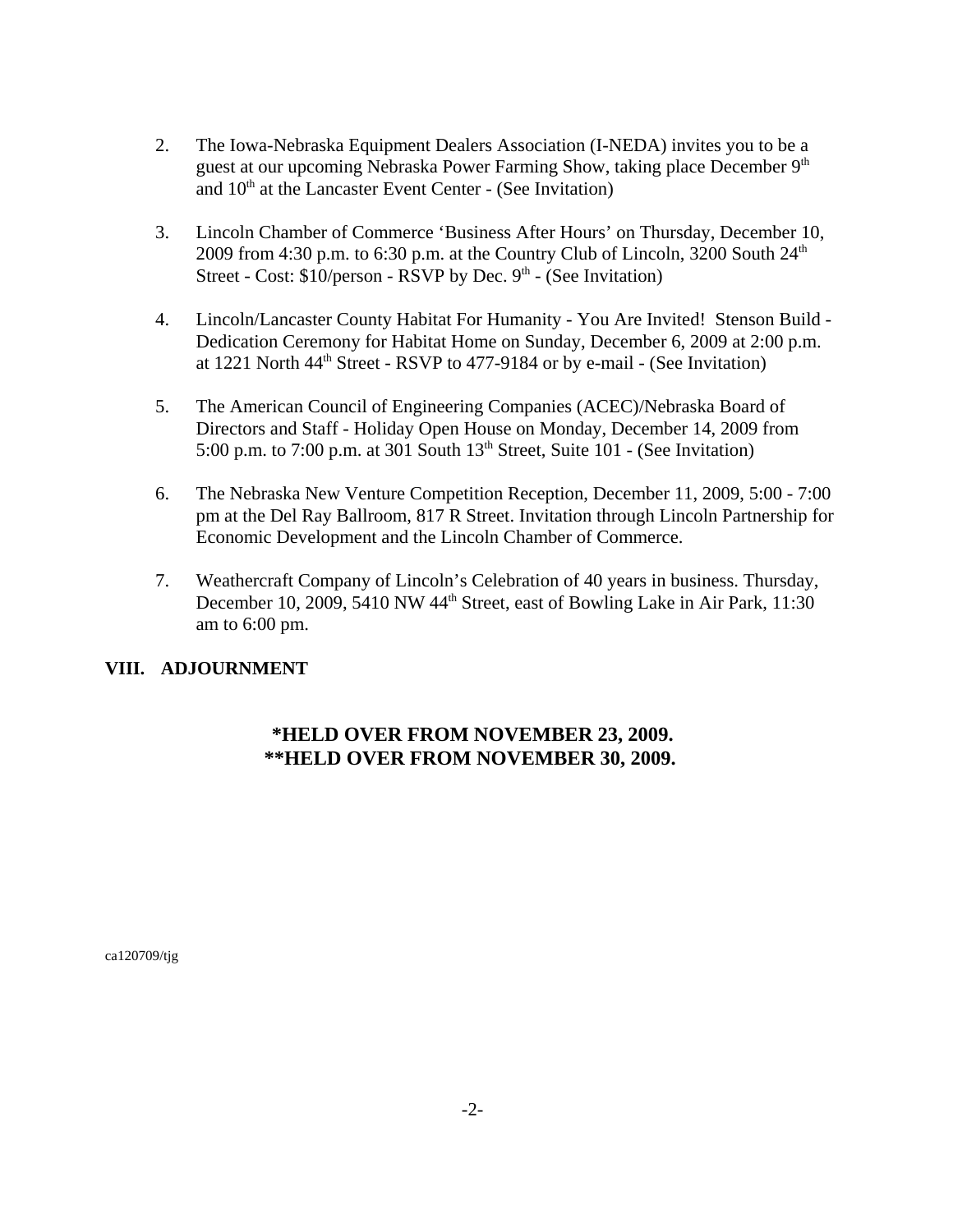- 2. The Iowa-Nebraska Equipment Dealers Association (I-NEDA) invites you to be a guest at our upcoming Nebraska Power Farming Show, taking place December 9<sup>th</sup> and  $10<sup>th</sup>$  at the Lancaster Event Center - (See Invitation)
- 3. Lincoln Chamber of Commerce 'Business After Hours' on Thursday, December 10, 2009 from 4:30 p.m. to 6:30 p.m. at the Country Club of Lincoln, 3200 South  $24<sup>th</sup>$ Street - Cost:  $$10/person$  - RSVP by Dec.  $9<sup>th</sup>$  - (See Invitation)
- 4. Lincoln/Lancaster County Habitat For Humanity You Are Invited! Stenson Build Dedication Ceremony for Habitat Home on Sunday, December 6, 2009 at 2:00 p.m. at 1221 North  $44<sup>th</sup>$  Street - RSVP to 477-9184 or by e-mail - (See Invitation)
- 5. The American Council of Engineering Companies (ACEC)/Nebraska Board of Directors and Staff - Holiday Open House on Monday, December 14, 2009 from 5:00 p.m. to 7:00 p.m. at 301 South  $13<sup>th</sup>$  Street, Suite 101 - (See Invitation)
- 6. The Nebraska New Venture Competition Reception, December 11, 2009, 5:00 7:00 pm at the Del Ray Ballroom, 817 R Street. Invitation through Lincoln Partnership for Economic Development and the Lincoln Chamber of Commerce.
- 7. Weathercraft Company of Lincoln's Celebration of 40 years in business. Thursday, December 10, 2009, 5410 NW 44<sup>th</sup> Street, east of Bowling Lake in Air Park, 11:30 am to 6:00 pm.

### **VIII. ADJOURNMENT**

## **\*HELD OVER FROM NOVEMBER 23, 2009. \*\*HELD OVER FROM NOVEMBER 30, 2009.**

ca120709/tjg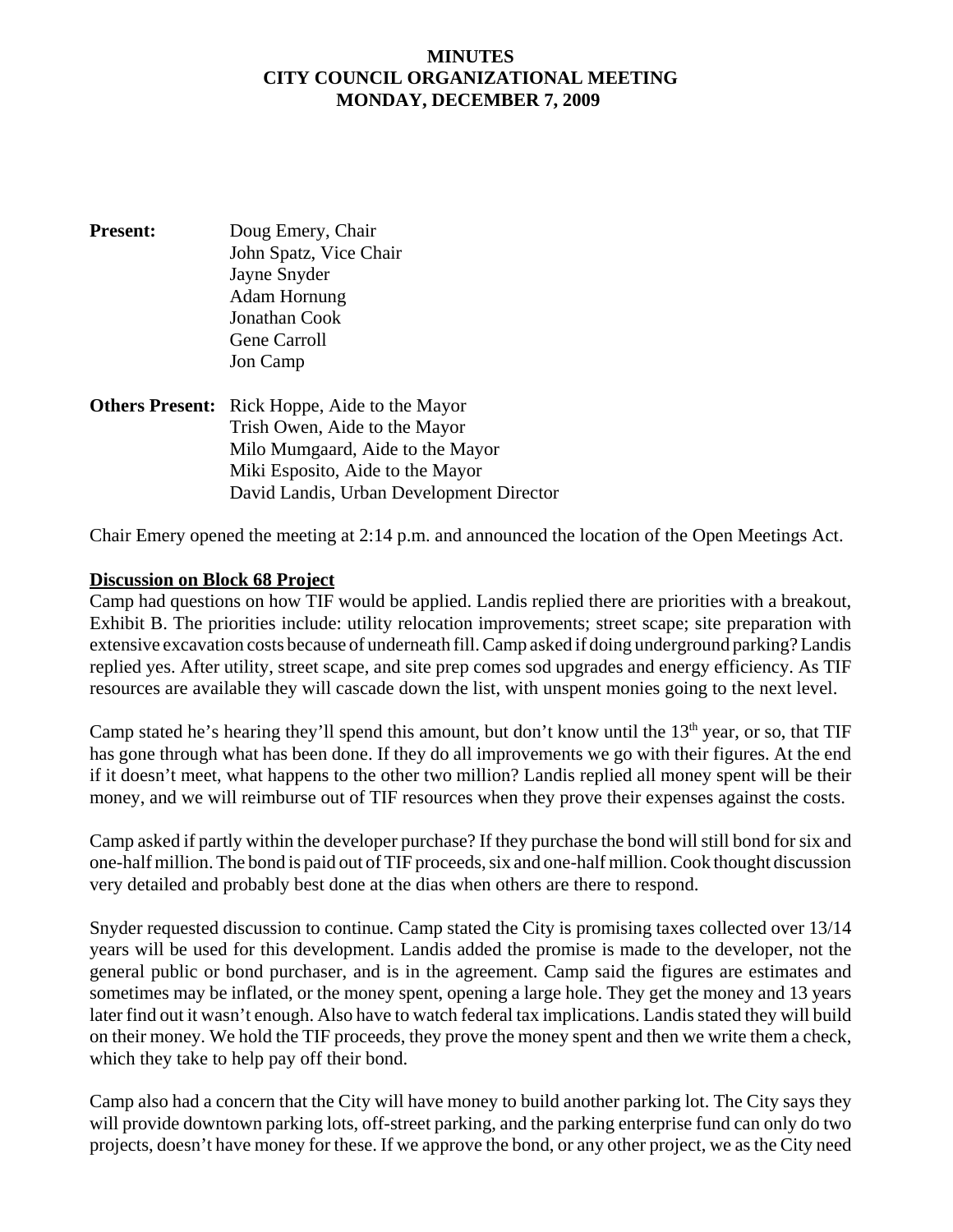#### **MINUTES CITY COUNCIL ORGANIZATIONAL MEETING MONDAY, DECEMBER 7, 2009**

- **Present:** Doug Emery, Chair John Spatz, Vice Chair Jayne Snyder Adam Hornung Jonathan Cook Gene Carroll Jon Camp
- **Others Present:** Rick Hoppe, Aide to the Mayor Trish Owen, Aide to the Mayor Milo Mumgaard, Aide to the Mayor Miki Esposito, Aide to the Mayor David Landis, Urban Development Director

Chair Emery opened the meeting at 2:14 p.m. and announced the location of the Open Meetings Act.

#### **Discussion on Block 68 Project**

Camp had questions on how TIF would be applied. Landis replied there are priorities with a breakout, Exhibit B. The priorities include: utility relocation improvements; street scape; site preparation with extensive excavation costs because of underneath fill. Camp asked if doing underground parking? Landis replied yes. After utility, street scape, and site prep comes sod upgrades and energy efficiency. As TIF resources are available they will cascade down the list, with unspent monies going to the next level.

Camp stated he's hearing they'll spend this amount, but don't know until the 13<sup>th</sup> year, or so, that TIF has gone through what has been done. If they do all improvements we go with their figures. At the end if it doesn't meet, what happens to the other two million? Landis replied all money spent will be their money, and we will reimburse out of TIF resources when they prove their expenses against the costs.

Camp asked if partly within the developer purchase? If they purchase the bond will still bond for six and one-half million. The bond is paid out of TIF proceeds, six and one-half million. Cook thought discussion very detailed and probably best done at the dias when others are there to respond.

Snyder requested discussion to continue. Camp stated the City is promising taxes collected over 13/14 years will be used for this development. Landis added the promise is made to the developer, not the general public or bond purchaser, and is in the agreement. Camp said the figures are estimates and sometimes may be inflated, or the money spent, opening a large hole. They get the money and 13 years later find out it wasn't enough. Also have to watch federal tax implications. Landis stated they will build on their money. We hold the TIF proceeds, they prove the money spent and then we write them a check, which they take to help pay off their bond.

Camp also had a concern that the City will have money to build another parking lot. The City says they will provide downtown parking lots, off-street parking, and the parking enterprise fund can only do two projects, doesn't have money for these. If we approve the bond, or any other project, we as the City need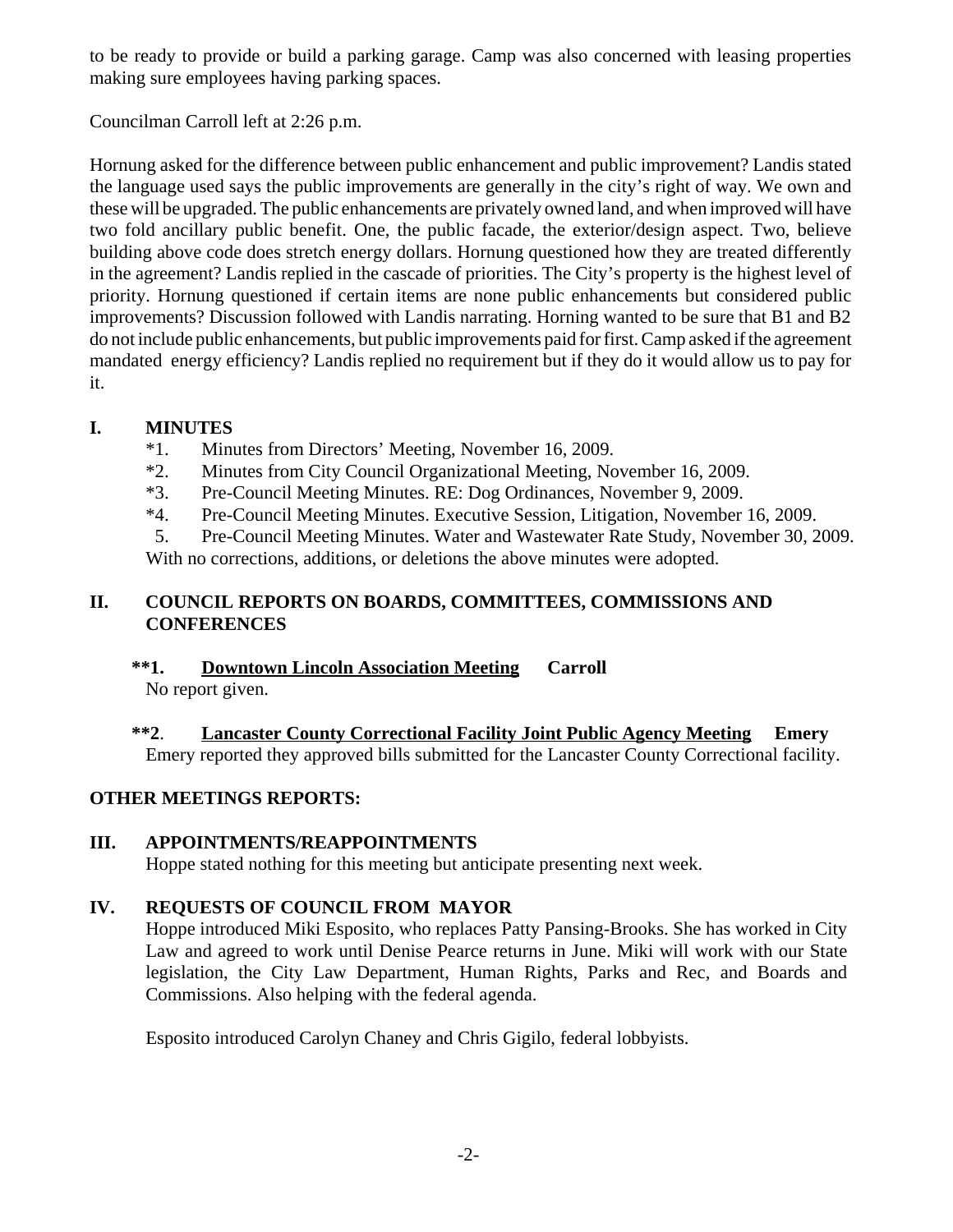to be ready to provide or build a parking garage. Camp was also concerned with leasing properties making sure employees having parking spaces.

Councilman Carroll left at 2:26 p.m.

Hornung asked for the difference between public enhancement and public improvement? Landis stated the language used says the public improvements are generally in the city's right of way. We own and these will be upgraded. The public enhancements are privately owned land, and when improved will have two fold ancillary public benefit. One, the public facade, the exterior/design aspect. Two, believe building above code does stretch energy dollars. Hornung questioned how they are treated differently in the agreement? Landis replied in the cascade of priorities. The City's property is the highest level of priority. Hornung questioned if certain items are none public enhancements but considered public improvements? Discussion followed with Landis narrating. Horning wanted to be sure that B1 and B2 do not include public enhancements, but public improvements paid for first. Camp asked if the agreement mandated energy efficiency? Landis replied no requirement but if they do it would allow us to pay for it.

# **I. MINUTES**

- \*1. Minutes from Directors' Meeting, November 16, 2009.
- \*2. Minutes from City Council Organizational Meeting, November 16, 2009.
- \*3. Pre-Council Meeting Minutes. RE: Dog Ordinances, November 9, 2009.
- \*4. Pre-Council Meeting Minutes. Executive Session, Litigation, November 16, 2009.

5. Pre-Council Meeting Minutes. Water and Wastewater Rate Study, November 30, 2009.

With no corrections, additions, or deletions the above minutes were adopted.

### **II. COUNCIL REPORTS ON BOARDS, COMMITTEES, COMMISSIONS AND CONFERENCES**

## **\*\*1. Downtown Lincoln Association Meeting Carroll**

No report given.

### **\*\*2**. **Lancaster County Correctional Facility Joint Public Agency Meeting Emery**  Emery reported they approved bills submitted for the Lancaster County Correctional facility.

## **OTHER MEETINGS REPORTS:**

## **III. APPOINTMENTS/REAPPOINTMENTS**

Hoppe stated nothing for this meeting but anticipate presenting next week.

## **IV. REQUESTS OF COUNCIL FROM MAYOR**

Hoppe introduced Miki Esposito, who replaces Patty Pansing-Brooks. She has worked in City Law and agreed to work until Denise Pearce returns in June. Miki will work with our State legislation, the City Law Department, Human Rights, Parks and Rec, and Boards and Commissions. Also helping with the federal agenda.

Esposito introduced Carolyn Chaney and Chris Gigilo, federal lobbyists.